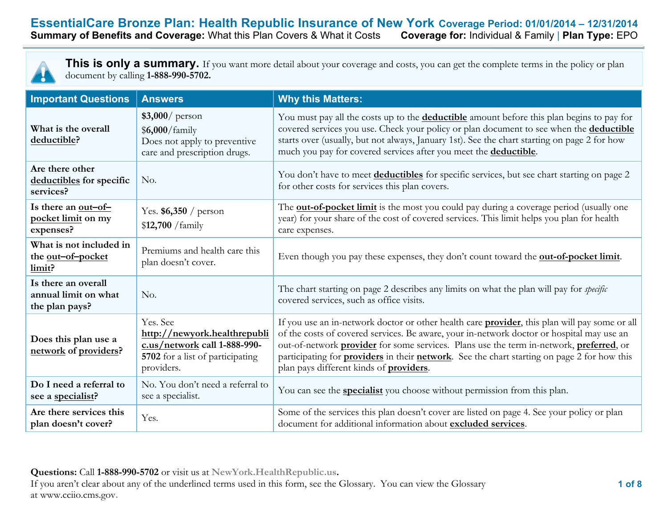### **EssentialCare Bronze Plan: Health Republic Insurance of New York Coverage Period: 01/01/2014 – 12/31/2014**<br>**Summary of Benefits and Coverage:** What this Plan Covers & What it Costs Coverage for: Individual & Family | Plan **Summary of Benefits and Coverage: What this Plan Covers & What it Costs**



**This is only a summary.** If you want more detail about your coverage and costs, you can get the complete terms in the policy or plan document by calling **1-888-990-5702.**

| <b>Important Questions</b>                                    | <b>Answers</b>                                                                                                             | <b>Why this Matters:</b>                                                                                                                                                                                                                                                                                                                                                                                                                               |  |
|---------------------------------------------------------------|----------------------------------------------------------------------------------------------------------------------------|--------------------------------------------------------------------------------------------------------------------------------------------------------------------------------------------------------------------------------------------------------------------------------------------------------------------------------------------------------------------------------------------------------------------------------------------------------|--|
| What is the overall<br>deductible?                            | $$3,000/$ person<br>\$6,000/family<br>Does not apply to preventive<br>care and prescription drugs.                         | You must pay all the costs up to the <b>deductible</b> amount before this plan begins to pay for<br>covered services you use. Check your policy or plan document to see when the <b>deductible</b><br>starts over (usually, but not always, January 1st). See the chart starting on page 2 for how<br>much you pay for covered services after you meet the deductible.                                                                                 |  |
| Are there other<br>deductibles for specific<br>services?      | No.                                                                                                                        | You don't have to meet <b>deductibles</b> for specific services, but see chart starting on page 2<br>for other costs for services this plan covers.                                                                                                                                                                                                                                                                                                    |  |
| Is there an out-of-<br>pocket limit on my<br>expenses?        | Yes. $$6,350 /$ person<br>$$12,700$ /family                                                                                | The <b>out-of-pocket limit</b> is the most you could pay during a coverage period (usually one<br>year) for your share of the cost of covered services. This limit helps you plan for health<br>care expenses.                                                                                                                                                                                                                                         |  |
| What is not included in<br>the out-of-pocket<br>limit?        | Premiums and health care this<br>plan doesn't cover.                                                                       | Even though you pay these expenses, they don't count toward the <b>out-of-pocket limit</b> .                                                                                                                                                                                                                                                                                                                                                           |  |
| Is there an overall<br>annual limit on what<br>the plan pays? | No.                                                                                                                        | The chart starting on page 2 describes any limits on what the plan will pay for <i>specific</i><br>covered services, such as office visits.                                                                                                                                                                                                                                                                                                            |  |
| Does this plan use a<br>network of providers?                 | Yes. See<br>http://newyork.healthrepubli<br>c.us/network call 1-888-990-<br>5702 for a list of participating<br>providers. | If you use an in-network doctor or other health care provider, this plan will pay some or all<br>of the costs of covered services. Be aware, your in-network doctor or hospital may use an<br>out-of-network provider for some services. Plans use the term in-network, preferred, or<br>participating for <b>providers</b> in their <b>network</b> . See the chart starting on page 2 for how this<br>plan pays different kinds of <b>providers</b> . |  |
| Do I need a referral to<br>see a specialist?                  | No. You don't need a referral to<br>see a specialist.                                                                      | You can see the <b>specialist</b> you choose without permission from this plan.                                                                                                                                                                                                                                                                                                                                                                        |  |
| Are there services this<br>plan doesn't cover?                | Yes.                                                                                                                       | Some of the services this plan doesn't cover are listed on page 4. See your policy or plan<br>document for additional information about excluded services.                                                                                                                                                                                                                                                                                             |  |

**Questions:** Call **1-888-990-5702** or visit us at **NewYork.HealthRepublic.us.** If you aren't clear about any of the underlined terms used in this form, see the Glossary. You can view the Glossary at www.cciio.cms.gov**.**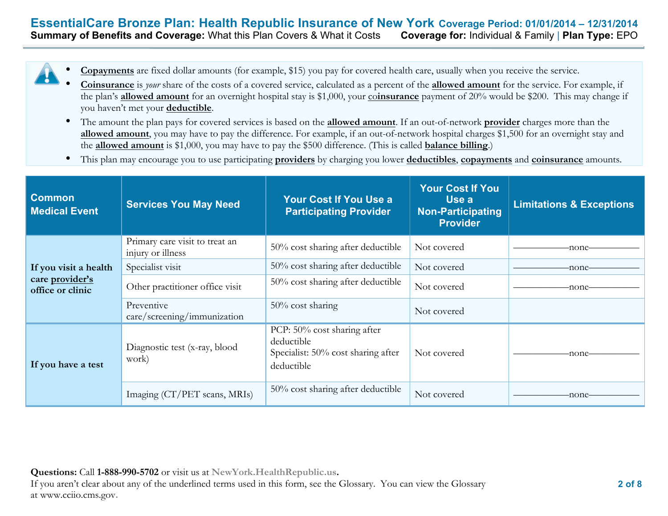### **EssentialCare Bronze Plan: Health Republic Insurance of New York Coverage Period: 01/01/2014 – 12/31/2014 Summary of Benefits and Coverage:** What this Plan Covers & What it Costs **Coverage for:** Individual & Family | **Plan Type:** EPO

- **Copayments** are fixed dollar amounts (for example, \$15) you pay for covered health care, usually when you receive the service.
- **Coinsurance** is *your* share of the costs of a covered service, calculated as a percent of the **allowed amount** for the service. For example, if the plan's **allowed amount** for an overnight hospital stay is \$1,000, your co**insurance** payment of 20% would be \$200. This may change if you haven't met your **deductible**.
- The amount the plan pays for covered services is based on the **allowed amount**. If an out-of-network **provider** charges more than the **allowed amount**, you may have to pay the difference. For example, if an out-of-network hospital charges \$1,500 for an overnight stay and the **allowed amount** is \$1,000, you may have to pay the \$500 difference. (This is called **balance billing**.)
- This plan may encourage you to use participating **providers** by charging you lower **deductibles**, **copayments** and **coinsurance** amounts.

| <b>Common</b><br><b>Medical Event</b> | <b>Services You May Need</b>                        | Your Cost If You Use a<br><b>Participating Provider</b>                                       | <b>Your Cost If You</b><br>Use a<br><b>Non-Participating</b><br><b>Provider</b> | <b>Limitations &amp; Exceptions</b> |
|---------------------------------------|-----------------------------------------------------|-----------------------------------------------------------------------------------------------|---------------------------------------------------------------------------------|-------------------------------------|
|                                       | Primary care visit to treat an<br>injury or illness | $50\%$ cost sharing after deductible                                                          | Not covered                                                                     | -none-                              |
| If you visit a health                 | Specialist visit                                    | 50% cost sharing after deductible                                                             | Not covered                                                                     | -none–                              |
| care provider's<br>office or clinic   | Other practitioner office visit                     | 50% cost sharing after deductible                                                             | Not covered                                                                     | -none-                              |
|                                       | Preventive<br>care/screening/immunization           | $50\%$ cost sharing                                                                           | Not covered                                                                     |                                     |
| If you have a test                    | Diagnostic test (x-ray, blood<br>work)              | PCP: 50% cost sharing after<br>deductible<br>Specialist: 50% cost sharing after<br>deductible | Not covered                                                                     | -none-                              |
|                                       | Imaging (CT/PET scans, MRIs)                        | $50\%$ cost sharing after deductible                                                          | Not covered                                                                     | -none-                              |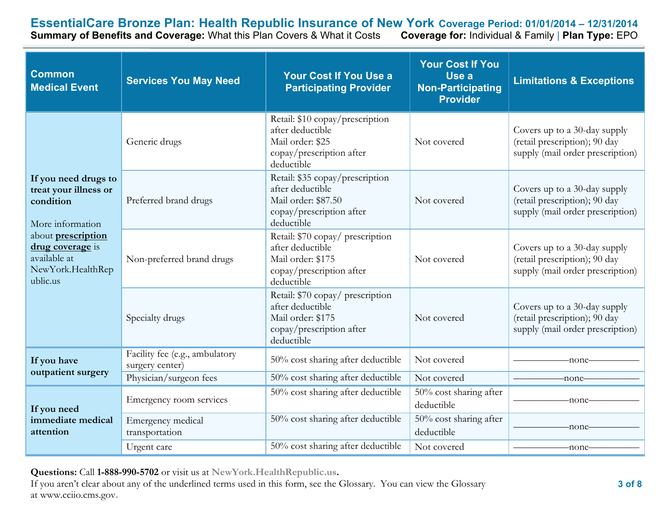**EssentialCare Bronze Plan: Health Republic Insurance of New York Coverage Period: 01/01/2014 – 12/31/2014**<br>Summary of Benefits and Coverage: What this Plan Covers & What it Costs Coverage for: Individual & Family | Plan T

**Summary of Benefits and Coverage: What this Plan Covers & What it Costs** 

| <b>Common</b><br><b>Medical Event</b>                                                                                                                                     | <b>Services You May Need</b>                      | <b>Your Cost If You Use a</b><br><b>Participating Provider</b>                                                       | <b>Your Cost If You</b><br>Use a<br>Non-Participating<br><b>Provider</b> | <b>Limitations &amp; Exceptions</b>                                                               |
|---------------------------------------------------------------------------------------------------------------------------------------------------------------------------|---------------------------------------------------|----------------------------------------------------------------------------------------------------------------------|--------------------------------------------------------------------------|---------------------------------------------------------------------------------------------------|
|                                                                                                                                                                           | Generic drugs                                     | Retail: \$10 copay/prescription<br>after deductible<br>Mail order: \$25<br>copay/prescription after<br>deductible    | Not covered                                                              | Covers up to a 30-day supply<br>(retail prescription); 90 day<br>supply (mail order prescription) |
| If you need drugs to<br>treat your illness or<br>condition<br>More information<br>about prescription<br>drug coverage is<br>available at<br>NewYork.HealthRep<br>ublic.us | Preferred brand drugs                             | Retail: \$35 copay/prescription<br>after deductible<br>Mail order: \$87.50<br>copay/prescription after<br>deductible | Not covered                                                              | Covers up to a 30-day supply<br>(retail prescription); 90 day<br>supply (mail order prescription) |
|                                                                                                                                                                           | Non-preferred brand drugs                         | Retail: \$70 copay/ prescription<br>after deductible<br>Mail order: \$175<br>copay/prescription after<br>deductible  | Not covered                                                              | Covers up to a 30-day supply<br>(retail prescription); 90 day<br>supply (mail order prescription) |
|                                                                                                                                                                           | Specialty drugs                                   | Retail: \$70 copay/ prescription<br>after deductible<br>Mail order: \$175<br>copay/prescription after<br>deductible  | Not covered                                                              | Covers up to a 30-day supply<br>(retail prescription); 90 day<br>supply (mail order prescription) |
| If you have                                                                                                                                                               | Facility fee (e.g., ambulatory<br>surgery center) | 50% cost sharing after deductible                                                                                    | Not covered                                                              | -none                                                                                             |
| outpatient surgery                                                                                                                                                        | Physician/surgeon fees                            | 50% cost sharing after deductible                                                                                    | Not covered                                                              | -none-                                                                                            |
| If you need<br>immediate medical<br>attention                                                                                                                             | Emergency room services                           | 50% cost sharing after deductible                                                                                    | $50\%$ cost sharing after<br>deductible                                  | -none                                                                                             |
|                                                                                                                                                                           | Emergency medical<br>transportation               | 50% cost sharing after deductible                                                                                    | 50% cost sharing after<br>deductible                                     | -none-                                                                                            |
|                                                                                                                                                                           | Urgent care                                       | 50% cost sharing after deductible                                                                                    | Not covered                                                              | -none-                                                                                            |

**Questions:** Call **1-888-990-5702** or visit us at **NewYork.HealthRepublic.us.**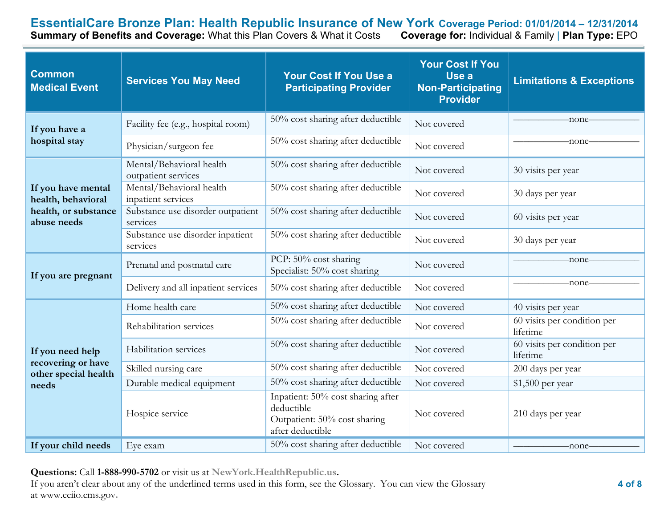**EssentialCare Bronze Plan: Health Republic Insurance of New York Coverage Period: 01/01/2014 – 12/31/2014**<br>Summary of Benefits and Coverage: What this Plan Covers & What it Costs Coverage for: Individual & Family | Plan T **Summary of Benefits and Coverage: What this Plan Covers & What it Costs** 

| <b>Common</b><br><b>Medical Event</b>                                   | <b>Services You May Need</b>                    | <b>Your Cost If You Use a</b><br><b>Participating Provider</b>                                      | <b>Your Cost If You</b><br>Use a<br><b>Non-Participating</b><br><b>Provider</b> | <b>Limitations &amp; Exceptions</b>     |
|-------------------------------------------------------------------------|-------------------------------------------------|-----------------------------------------------------------------------------------------------------|---------------------------------------------------------------------------------|-----------------------------------------|
| If you have a                                                           | Facility fee (e.g., hospital room)              | 50% cost sharing after deductible                                                                   | Not covered                                                                     | -none-                                  |
| hospital stay                                                           | Physician/surgeon fee                           | 50% cost sharing after deductible                                                                   | Not covered                                                                     | -none-                                  |
|                                                                         | Mental/Behavioral health<br>outpatient services | 50% cost sharing after deductible                                                                   | Not covered                                                                     | 30 visits per year                      |
| If you have mental<br>health, behavioral                                | Mental/Behavioral health<br>inpatient services  | 50% cost sharing after deductible                                                                   | Not covered                                                                     | 30 days per year                        |
| health, or substance<br>abuse needs                                     | Substance use disorder outpatient<br>services   | 50% cost sharing after deductible                                                                   | Not covered                                                                     | 60 visits per year                      |
|                                                                         | Substance use disorder inpatient<br>services    | 50% cost sharing after deductible                                                                   | Not covered                                                                     | 30 days per year                        |
| If you are pregnant                                                     | Prenatal and postnatal care                     | PCP: 50% cost sharing<br>Specialist: 50% cost sharing                                               | Not covered                                                                     | -none-                                  |
|                                                                         | Delivery and all inpatient services             | 50% cost sharing after deductible                                                                   | Not covered                                                                     | -none-                                  |
|                                                                         | Home health care                                | 50% cost sharing after deductible                                                                   | Not covered                                                                     | 40 visits per year                      |
| If you need help<br>recovering or have<br>other special health<br>needs | Rehabilitation services                         | 50% cost sharing after deductible                                                                   | Not covered                                                                     | 60 visits per condition per<br>lifetime |
|                                                                         | Habilitation services                           | 50% cost sharing after deductible                                                                   | Not covered                                                                     | 60 visits per condition per<br>lifetime |
|                                                                         | Skilled nursing care                            | 50% cost sharing after deductible                                                                   | Not covered                                                                     | 200 days per year                       |
|                                                                         | Durable medical equipment                       | 50% cost sharing after deductible                                                                   | Not covered                                                                     | \$1,500 per year                        |
|                                                                         | Hospice service                                 | Inpatient: 50% cost sharing after<br>deductible<br>Outpatient: 50% cost sharing<br>after deductible | Not covered                                                                     | 210 days per year                       |
| If your child needs                                                     | Eye exam                                        | 50% cost sharing after deductible                                                                   | Not covered                                                                     | -none-                                  |

**Questions:** Call **1-888-990-5702** or visit us at **NewYork.HealthRepublic.us.**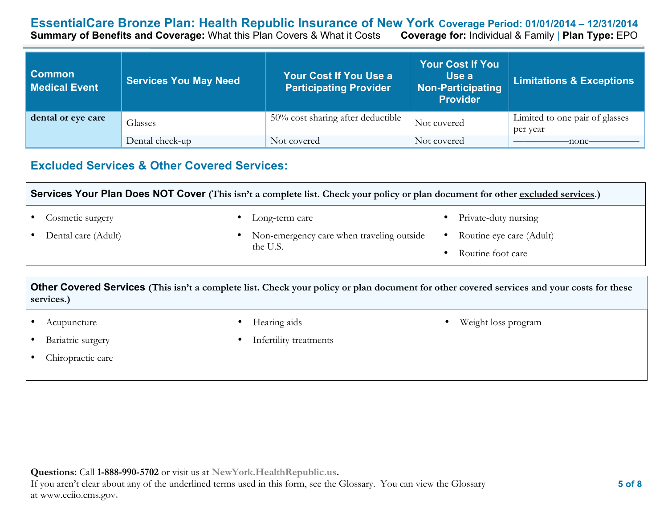### **EssentialCare Bronze Plan: Health Republic Insurance of New York Coverage Period: 01/01/2014 – 12/31/2014 Summary of Benefits and Coverage: What this Plan Covers & What it Costs**

| <b>Common</b><br><b>Medical Event</b> | <b>Services You May Need</b> | Your Cost If You Use a<br><b>Participating Provider</b> | <b>Your Cost If You</b><br>Use a<br><b>Non-Participating</b><br><b>Provider</b> | <b>Limitations &amp; Exceptions</b>        |
|---------------------------------------|------------------------------|---------------------------------------------------------|---------------------------------------------------------------------------------|--------------------------------------------|
| dental or eye care                    | Glasses                      | 50% cost sharing after deductible                       | Not covered                                                                     | Limited to one pair of glasses<br>per year |
|                                       | Dental check-up              | Not covered                                             | Not covered                                                                     | -none-                                     |

# **Excluded Services & Other Covered Services:**

**Services Your Plan Does NOT Cover (This isn't a complete list. Check your policy or plan document for other excluded services.)**

• Cosmetic surgery

Long-term care

• Dental care (Adult)

- Non-emergency care when traveling outside the U.S.
- Private-duty nursing
- Routine eye care (Adult)

• Weight loss program

• Routine foot care

**Other Covered Services (This isn't a complete list. Check your policy or plan document for other covered services and your costs for these services.)**

- Acupuncture
- Bariatric surgery
- Chiropractic care
- Hearing aids
- Infertility treatments

**Questions:** Call **1-888-990-5702** or visit us at **NewYork.HealthRepublic.us.** If you aren't clear about any of the underlined terms used in this form, see the Glossary. You can view the Glossary at www.cciio.cms.gov**.**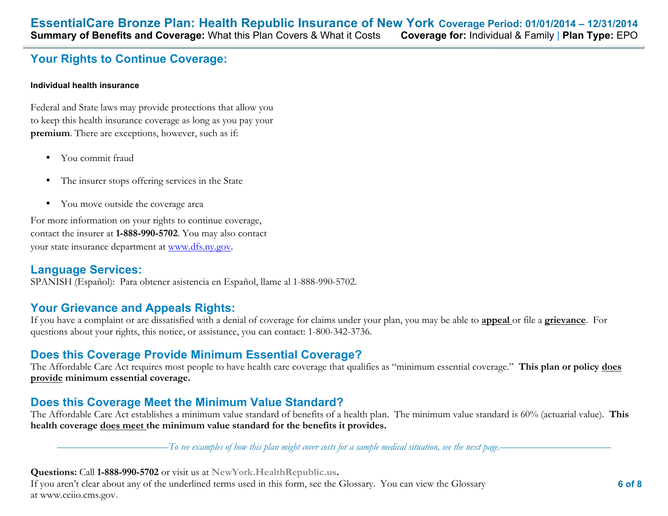# **Your Rights to Continue Coverage:**

#### **Individual health insurance**

Federal and State laws may provide protections that allow you to keep this health insurance coverage as long as you pay your **premium**. There are exceptions, however, such as if:

- You commit fraud
- The insurer stops offering services in the State
- You move outside the coverage area

For more information on your rights to continue coverage, contact the insurer at **1-888-990-5702**. You may also contact your state insurance department at www.dfs.ny.gov.

# **Language Services:**

SPANISH (Español): Para obtener asistencia en Español, llame al 1-888-990-5702.

# **Your Grievance and Appeals Rights:**

If you have a complaint or are dissatisfied with a denial of coverage for claims under your plan, you may be able to **appeal** or file a **grievance**. For questions about your rights, this notice, or assistance, you can contact: 1-800-342-3736.

# **Does this Coverage Provide Minimum Essential Coverage?**

The Affordable Care Act requires most people to have health care coverage that qualifies as "minimum essential coverage." **This plan or policy does provide minimum essential coverage.** 

# **Does this Coverage Meet the Minimum Value Standard?**

The Affordable Care Act establishes a minimum value standard of benefits of a health plan. The minimum value standard is 60% (actuarial value). **This health coverage does meet the minimum value standard for the benefits it provides.** 

––––––––––––––––––––––*To see examples of how this plan might cover costs for a sample medical situation, see the next page.–––––––––––*–––––––––––

**Questions:** Call **1-888-990-5702** or visit us at **NewYork.HealthRepublic.us.**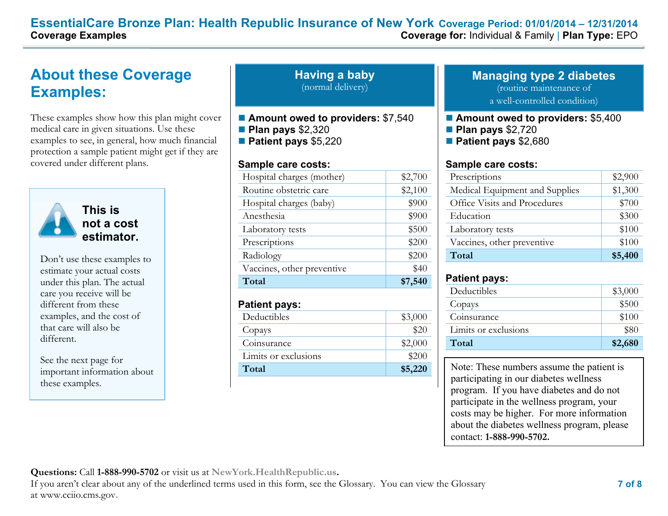# **EssentialCare Bronze Plan: Health Republic Insurance of New York Coverage Period: 01/01/2014 – 12/31/2014 Coverage Examples Coverage for:** Individual & Family | **Plan Type:** EPO

# **About these Coverage Examples:**

These examples show how this plan might cover medical care in given situations. Use these examples to see, in general, how much financial protection a sample patient might get if they are covered under different plans.



**This is not a cost estimator.** 

Don't use these examples to estimate your actual costs under this plan. The actual care you receive will be different from these examples, and the cost of that care will also be different.

See the next page for important information about these examples.

**Having a baby** (normal delivery)

- Amount owed to providers: \$7,540
- **Plan pays** \$2,320
- **Patient pays** \$5,220

#### **Sample care costs:**

| Hospital charges (mother)  | \$2,700 |
|----------------------------|---------|
| Routine obstetric care     | \$2,100 |
| Hospital charges (baby)    | \$900   |
| Anesthesia                 | \$900   |
| Laboratory tests           | \$500   |
| Prescriptions              | \$200   |
| Radiology                  | \$200   |
| Vaccines, other preventive | \$40    |
| Total                      | \$7,540 |

#### **Patient pays:**

| Deductibles          | \$3,000 |
|----------------------|---------|
| Copays               | \$20    |
| Coinsurance          | \$2,000 |
| Limits or exclusions | \$200   |
| Total                | \$5,220 |

# **Managing type 2 diabetes** (routine maintenance of

a well-controlled condition)

- **Amount owed to providers: \$5,400**
- **Plan pays** \$2,720
- $\blacksquare$  **Patient pays** \$2,680

#### **Sample care costs:**

| Prescriptions                  | \$2,900 |
|--------------------------------|---------|
| Medical Equipment and Supplies | \$1,300 |
| Office Visits and Procedures   | \$700   |
| Education                      | \$300   |
| Laboratory tests               | \$100   |
| Vaccines, other preventive     | \$100   |
| Total                          | \$5,400 |

### **Patient pays:**

| Deductibles          | \$3,000 |
|----------------------|---------|
|                      |         |
| Copays               | \$500   |
| Coinsurance          | \$100   |
| Limits or exclusions | \$80    |
| Total                | \$2,680 |

Note: These numbers assume the patient is participating in our diabetes wellness program. If you have diabetes and do not participate in the wellness program, your costs may be higher. For more information about the diabetes wellness program, please contact: **1-888-990-5702.** 

**Questions:** Call **1-888-990-5702** or visit us at **NewYork.HealthRepublic.us.**